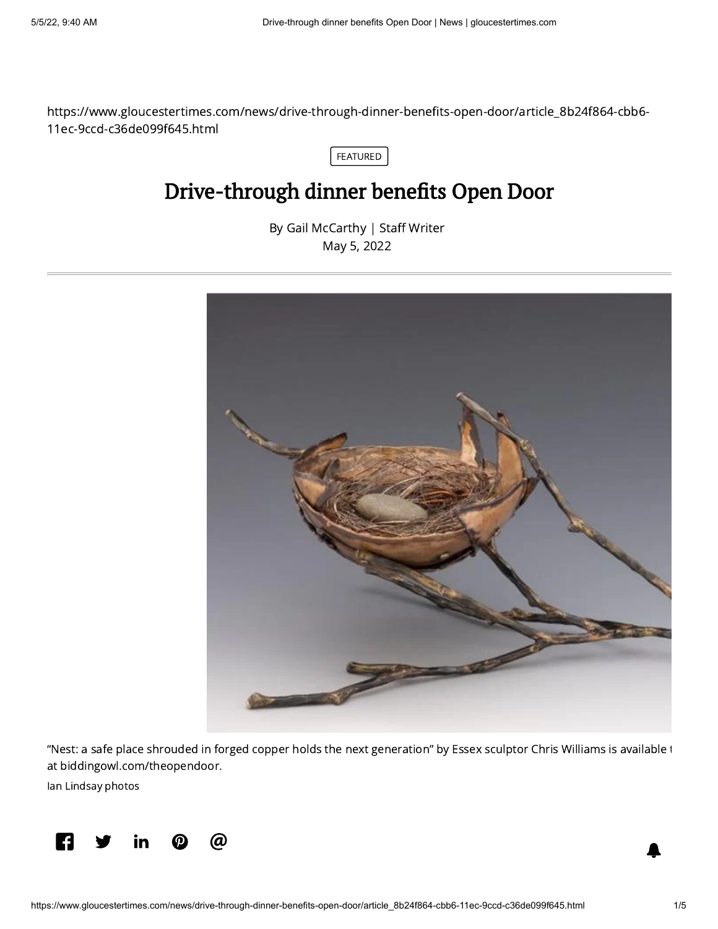https://www.gloucestertimes.com/news/drive-through-dinner-benefits-open-door/article\_8b24f864-cbb6- 11ec-9ccd-c36de099f645.html

FEATURED

## Drive-through dinner benefits Open Door

By Gail [McCarthy](https://www.gloucestertimes.com/users/profile/Gail%20McCarthy) | Staff Writer May 5, 2022



"Nest: a safe place shrouded in forged copper holds the next generation" by Essex sculptor Chris Williams is available t at [biddingowl.com/theopendoor](http://biddingowl.com/theopendoor).

Ian Lindsay photos

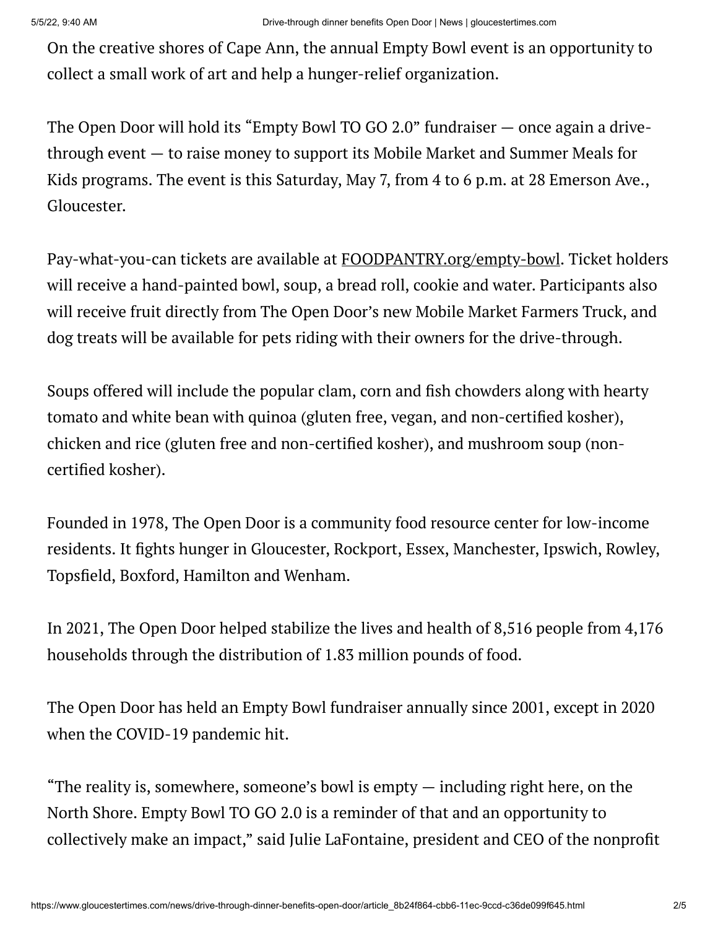On the creative shores of Cape Ann, the annual Empty Bowl event is an opportunity to collect a small work of art and help a hunger-relief organization.

The Open Door will hold its "Empty Bowl TO GO 2.0" fundraiser — once again a drivethrough event — to raise money to support its Mobile Market and Summer Meals for Kids programs. The event is this Saturday, May 7, from 4 to 6 p.m. at 28 Emerson Ave., Gloucester.

Pay-what-you-can tickets are available at [FOODPANTRY.org/empty-bowl.](http://foodpantry.org/empty-bowl) Ticket holders will receive a hand-painted bowl, soup, a bread roll, cookie and water. Participants also will receive fruit directly from The Open Door's new Mobile Market Farmers Truck, and dog treats will be available for pets riding with their owners for the drive-through.

Soups offered will include the popular clam, corn and fish chowders along with hearty tomato and white bean with quinoa (gluten free, vegan, and non-certified kosher), chicken and rice (gluten free and non-certified kosher), and mushroom soup (noncertified kosher).

Founded in 1978, The Open Door is a community food resource center for low-income residents. It fights hunger in Gloucester, Rockport, Essex, Manchester, Ipswich, Rowley, Topsfield, Boxford, Hamilton and Wenham.

In 2021, The Open Door helped stabilize the lives and health of 8,516 people from 4,176 households through the distribution of 1.83 million pounds of food.

The Open Door has held an Empty Bowl fundraiser annually since 2001, except in 2020 when the COVID-19 pandemic hit.

"The reality is, somewhere, someone's bowl is empty — including right here, on the North Shore. Empty Bowl TO GO 2.0 is a reminder of that and an opportunity to collectively make an impact," said Julie LaFontaine, president and CEO of the nonprofit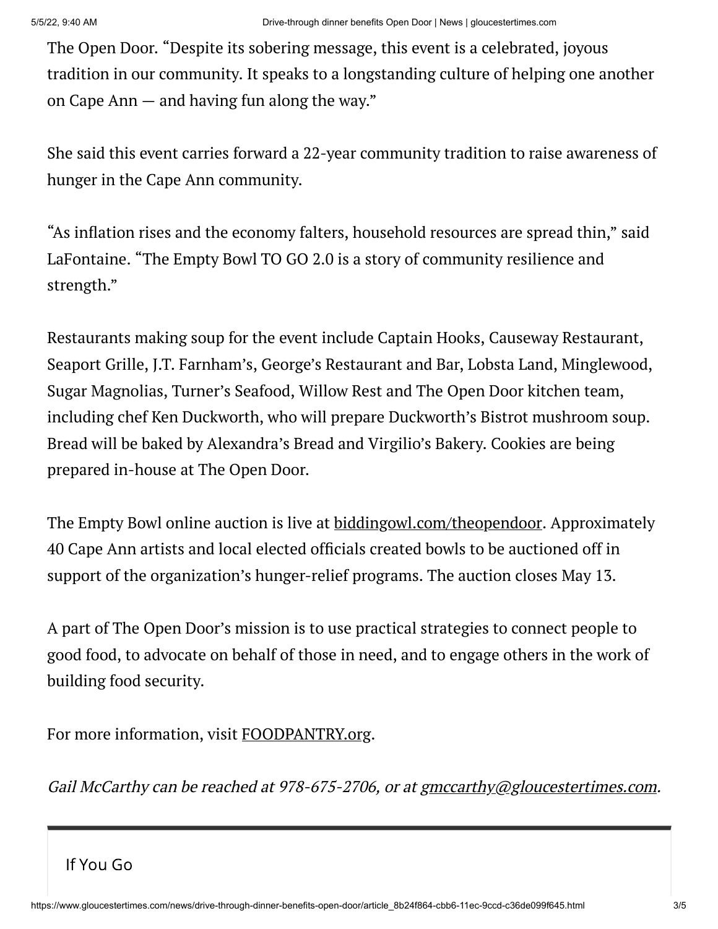The Open Door. "Despite its sobering message, this event is a celebrated, joyous tradition in our community. It speaks to a longstanding culture of helping one another on Cape Ann — and having fun along the way."

She said this event carries forward a 22-year community tradition to raise awareness of hunger in the Cape Ann community.

"As inflation rises and the economy falters, household resources are spread thin," said LaFontaine. "The Empty Bowl TO GO 2.0 is a story of community resilience and strength."

Restaurants making soup for the event include Captain Hooks, Causeway Restaurant, Seaport Grille, J.T. Farnham's, George's Restaurant and Bar, Lobsta Land, Minglewood, Sugar Magnolias, Turner's Seafood, Willow Rest and The Open Door kitchen team, including chef Ken Duckworth, who will prepare Duckworth's Bistrot mushroom soup. Bread will be baked by Alexandra's Bread and Virgilio's Bakery. Cookies are being prepared in-house at The Open Door.

The Empty Bowl online auction is live at **[biddingowl.com/theopendoor](http://biddingowl.com/theopendoor)**. Approximately 40 Cape Ann artists and local elected officials created bowls to be auctioned off in support of the organization's hunger-relief programs. The auction closes May 13.

A part of The Open Door's mission is to use practical strategies to connect people to good food, to advocate on behalf of those in need, and to engage others in the work of building food security.

For more information, visit [FOODPANTRY.org](http://foodpantry.org/).

Gail McCarthy can be reached at 978-675-2706, or at [gmccarthy@gloucestertimes.com](mailto:gmccarthy@gloucestertimes.com).

If You Go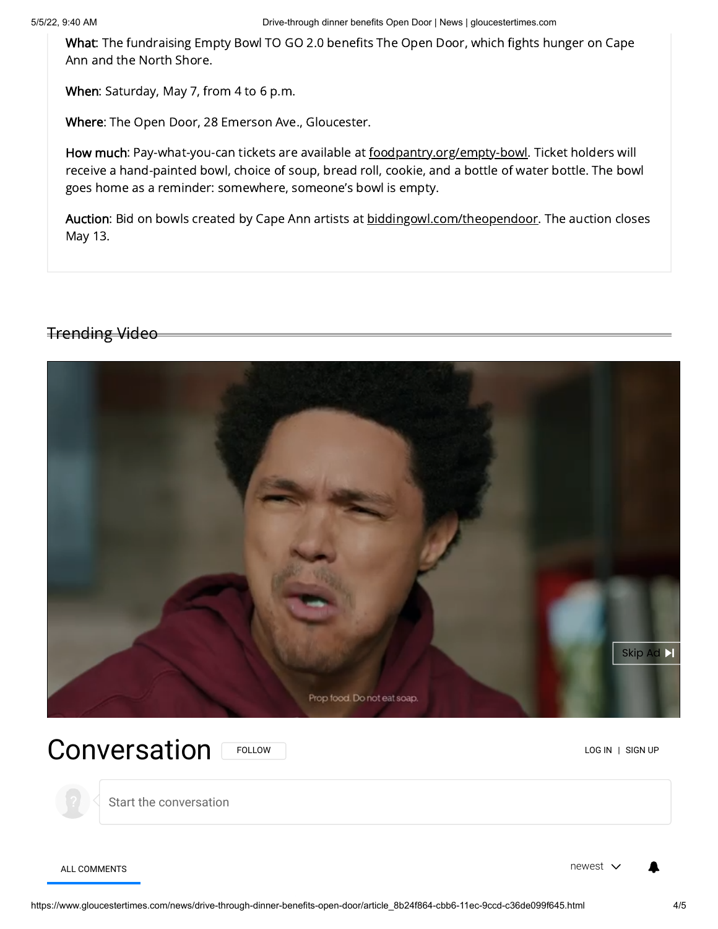5/5/22, 9:40 AM Drive-through dinner benefits Open Door | News | gloucestertimes.com

What: The fundraising Empty Bowl TO GO 2.0 benefits The Open Door, which fights hunger on Cape Ann and the North Shore.

When: Saturday, May 7, from 4 to 6 p.m.

Where: The Open Door, 28 Emerson Ave., Gloucester.

How much: Pay-what-you-can tickets are available at [foodpantry.org/empty-bowl](http://foodpantry.org/empty-bowl). Ticket holders will receive a hand-painted bowl, choice of soup, bread roll, cookie, and a bottle of water bottle. The bowl goes home as a reminder: somewhere, someone's bowl is empty.

Auction: Bid on bowls created by Cape Ann artists at [biddingowl.com/theopendoor.](http://biddingowl.com/theopendoor) The auction closes May 13.

## Trending Video



Conversation FOLLOW READ CONVERSATION FOLLOW

Start the conversation

ALL COMMENTS NEWSLET IN A REPORT OF THE SERVICE OF THE SERVICE OF THE SERVICE OF THE SERVICE OF THE SERVICE OF